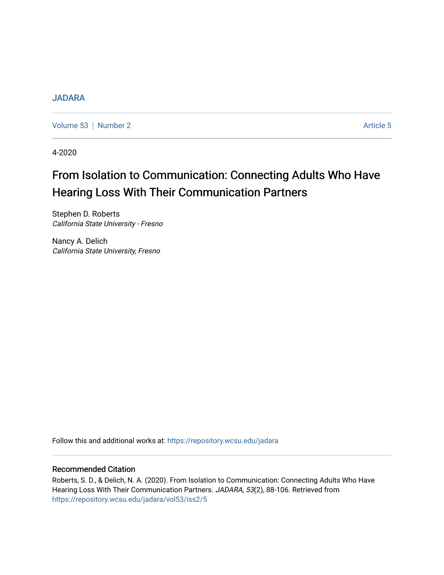## [JADARA](https://repository.wcsu.edu/jadara)

[Volume 53](https://repository.wcsu.edu/jadara/vol53) | [Number 2](https://repository.wcsu.edu/jadara/vol53/iss2) Article 5

4-2020

# From Isolation to Communication: Connecting Adults Who Have Hearing Loss With Their Communication Partners

Stephen D. Roberts California State University - Fresno

Nancy A. Delich California State University, Fresno

Follow this and additional works at: [https://repository.wcsu.edu/jadara](https://repository.wcsu.edu/jadara?utm_source=repository.wcsu.edu%2Fjadara%2Fvol53%2Fiss2%2F5&utm_medium=PDF&utm_campaign=PDFCoverPages)

# Recommended Citation

Roberts, S. D., & Delich, N. A. (2020). From Isolation to Communication: Connecting Adults Who Have Hearing Loss With Their Communication Partners. JADARA, 53(2), 88-106. Retrieved from [https://repository.wcsu.edu/jadara/vol53/iss2/5](https://repository.wcsu.edu/jadara/vol53/iss2/5?utm_source=repository.wcsu.edu%2Fjadara%2Fvol53%2Fiss2%2F5&utm_medium=PDF&utm_campaign=PDFCoverPages)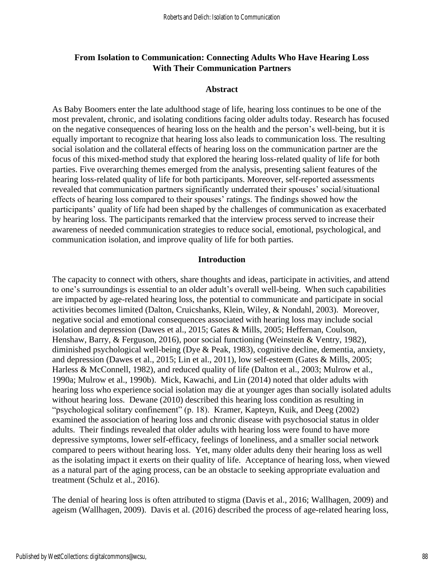# **From Isolation to Communication: Connecting Adults Who Have Hearing Loss With Their Communication Partners**

#### **Abstract**

As Baby Boomers enter the late adulthood stage of life, hearing loss continues to be one of the most prevalent, chronic, and isolating conditions facing older adults today. Research has focused on the negative consequences of hearing loss on the health and the person's well-being, but it is equally important to recognize that hearing loss also leads to communication loss. The resulting social isolation and the collateral effects of hearing loss on the communication partner are the focus of this mixed-method study that explored the hearing loss-related quality of life for both parties. Five overarching themes emerged from the analysis, presenting salient features of the hearing loss-related quality of life for both participants. Moreover, self-reported assessments revealed that communication partners significantly underrated their spouses' social/situational effects of hearing loss compared to their spouses' ratings. The findings showed how the participants' quality of life had been shaped by the challenges of communication as exacerbated by hearing loss. The participants remarked that the interview process served to increase their awareness of needed communication strategies to reduce social, emotional, psychological, and communication isolation, and improve quality of life for both parties.

## **Introduction**

The capacity to connect with others, share thoughts and ideas, participate in activities, and attend to one's surroundings is essential to an older adult's overall well-being. When such capabilities are impacted by age-related hearing loss, the potential to communicate and participate in social activities becomes limited (Dalton, Cruicshanks, Klein, Wiley, & Nondahl, 2003). Moreover, negative social and emotional consequences associated with hearing loss may include social isolation and depression (Dawes et al., 2015; Gates & Mills, 2005; Heffernan, Coulson, Henshaw, Barry, & Ferguson, 2016), poor social functioning (Weinstein & Ventry, 1982), diminished psychological well-being (Dye & Peak, 1983), cognitive decline, dementia, anxiety, and depression (Dawes et al., 2015; Lin et al., 2011), low self-esteem (Gates & Mills, 2005; Harless & McConnell, 1982), and reduced quality of life (Dalton et al., 2003; Mulrow et al., 1990a; Mulrow et al., 1990b). Mick, Kawachi, and Lin (2014) noted that older adults with hearing loss who experience social isolation may die at younger ages than socially isolated adults without hearing loss. Dewane (2010) described this hearing loss condition as resulting in "psychological solitary confinement" (p. 18). Kramer, Kapteyn, Kuik, and Deeg (2002) examined the association of hearing loss and chronic disease with psychosocial status in older adults. Their findings revealed that older adults with hearing loss were found to have more depressive symptoms, lower self-efficacy, feelings of loneliness, and a smaller social network compared to peers without hearing loss. Yet, many older adults deny their hearing loss as well as the isolating impact it exerts on their quality of life. Acceptance of hearing loss, when viewed as a natural part of the aging process, can be an obstacle to seeking appropriate evaluation and treatment (Schulz et al., 2016).

The denial of hearing loss is often attributed to stigma (Davis et al., 2016; Wallhagen, 2009) and ageism (Wallhagen, 2009). Davis et al. (2016) described the process of age-related hearing loss,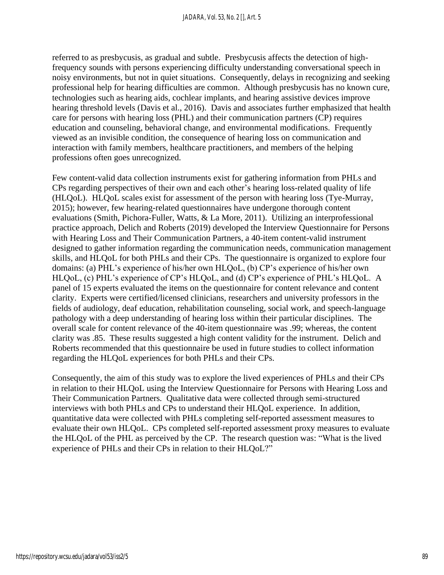referred to as presbycusis, as gradual and subtle. Presbycusis affects the detection of highfrequency sounds with persons experiencing difficulty understanding conversational speech in noisy environments, but not in quiet situations. Consequently, delays in recognizing and seeking professional help for hearing difficulties are common. Although presbycusis has no known cure, technologies such as hearing aids, cochlear implants, and hearing assistive devices improve hearing threshold levels (Davis et al., 2016). Davis and associates further emphasized that health care for persons with hearing loss (PHL) and their communication partners (CP) requires education and counseling, behavioral change, and environmental modifications. Frequently viewed as an invisible condition, the consequence of hearing loss on communication and interaction with family members, healthcare practitioners, and members of the helping professions often goes unrecognized.

Few content-valid data collection instruments exist for gathering information from PHLs and CPs regarding perspectives of their own and each other's hearing loss-related quality of life (HLQoL). HLQoL scales exist for assessment of the person with hearing loss (Tye-Murray, 2015); however, few hearing-related questionnaires have undergone thorough content evaluations (Smith, Pichora-Fuller, Watts, & La More, 2011). Utilizing an interprofessional practice approach, Delich and Roberts (2019) developed the Interview Questionnaire for Persons with Hearing Loss and Their Communication Partners, a 40-item content-valid instrument designed to gather information regarding the communication needs, communication management skills, and HLQoL for both PHLs and their CPs. The questionnaire is organized to explore four domains: (a) PHL's experience of his/her own HLQoL, (b) CP's experience of his/her own HLQoL, (c) PHL's experience of CP's HLQoL, and (d) CP's experience of PHL's HLQoL. A panel of 15 experts evaluated the items on the questionnaire for content relevance and content clarity. Experts were certified/licensed clinicians, researchers and university professors in the fields of audiology, deaf education, rehabilitation counseling, social work, and speech-language pathology with a deep understanding of hearing loss within their particular disciplines. The overall scale for content relevance of the 40-item questionnaire was .99; whereas, the content clarity was .85. These results suggested a high content validity for the instrument. Delich and Roberts recommended that this questionnaire be used in future studies to collect information regarding the HLQoL experiences for both PHLs and their CPs.

Consequently, the aim of this study was to explore the lived experiences of PHLs and their CPs in relation to their HLQoL using the Interview Questionnaire for Persons with Hearing Loss and Their Communication Partners*.* Qualitative data were collected through semi-structured interviews with both PHLs and CPs to understand their HLQoL experience. In addition, quantitative data were collected with PHLs completing self-reported assessment measures to evaluate their own HLQoL. CPs completed self-reported assessment proxy measures to evaluate the HLQoL of the PHL as perceived by the CP. The research question was: "What is the lived experience of PHLs and their CPs in relation to their HLQoL?"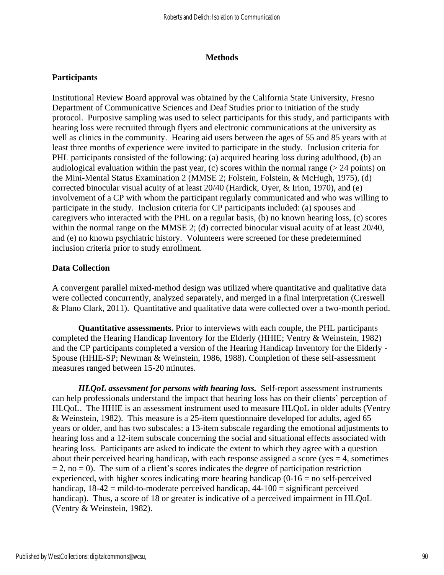#### **Methods**

# **Participants**

Institutional Review Board approval was obtained by the California State University, Fresno Department of Communicative Sciences and Deaf Studies prior to initiation of the study protocol. Purposive sampling was used to select participants for this study, and participants with hearing loss were recruited through flyers and electronic communications at the university as well as clinics in the community. Hearing aid users between the ages of 55 and 85 years with at least three months of experience were invited to participate in the study. Inclusion criteria for PHL participants consisted of the following: (a) acquired hearing loss during adulthood, (b) an audiological evaluation within the past year, (c) scores within the normal range ( $> 24$  points) on the Mini-Mental Status Examination 2 (MMSE 2; Folstein, Folstein, & McHugh, 1975), (d) corrected binocular visual acuity of at least 20/40 (Hardick, Oyer, & Irion, 1970), and (e) involvement of a CP with whom the participant regularly communicated and who was willing to participate in the study. Inclusion criteria for CP participants included: (a) spouses and caregivers who interacted with the PHL on a regular basis, (b) no known hearing loss, (c) scores within the normal range on the MMSE 2; (d) corrected binocular visual acuity of at least 20/40, and (e) no known psychiatric history. Volunteers were screened for these predetermined inclusion criteria prior to study enrollment.

### **Data Collection**

A convergent parallel mixed-method design was utilized where quantitative and qualitative data were collected concurrently, analyzed separately, and merged in a final interpretation (Creswell & Plano Clark, [2011\)](https://onlinelibrary-wiley-com.hmlproxy.lib.csufresno.edu/doi/full/10.1111/jan.13216#jan13216-bib-0010). Quantitative and qualitative data were collected over a two-month period.

**Quantitative assessments.** Prior to interviews with each couple, the PHL participants completed the Hearing Handicap Inventory for the Elderly (HHIE; Ventry & Weinstein, 1982) and the CP participants completed a version of the Hearing Handicap Inventory for the Elderly - Spouse (HHIE-SP; Newman & Weinstein, 1986, 1988). Completion of these self-assessment measures ranged between 15-20 minutes.

*HLQoL assessment for persons with hearing loss.* Self-report assessment instruments can help professionals understand the impact that hearing loss has on their clients' perception of HLQoL. The HHIE is an assessment instrument used to measure HLQoL in older adults (Ventry & Weinstein, 1982). This measure is a 25-item questionnaire developed for adults, aged 65 years or older, and has two subscales: a 13-item subscale regarding the emotional adjustments to hearing loss and a 12-item subscale concerning the social and situational effects associated with hearing loss. Participants are asked to indicate the extent to which they agree with a question about their perceived hearing handicap, with each response assigned a score (yes  $=$  4, sometimes  $= 2$ , no  $= 0$ ). The sum of a client's scores indicates the degree of participation restriction experienced, with higher scores indicating more hearing handicap  $(0-16 =$  no self-perceived handicap,  $18-42$  = mild-to-moderate perceived handicap,  $44-100$  = significant perceived handicap). Thus, a score of 18 or greater is indicative of a perceived impairment in HLQoL (Ventry & Weinstein, 1982).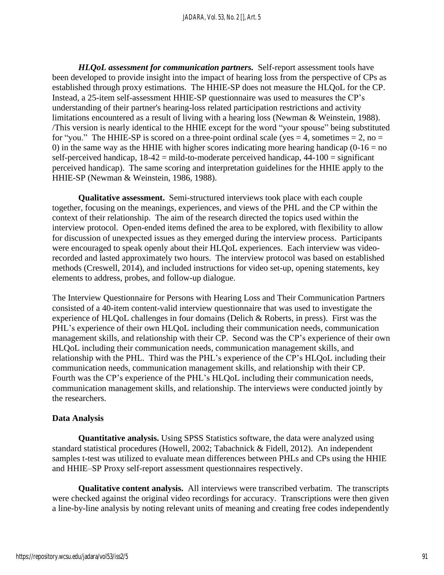*HLQoL assessment for communication partners.* Self-report assessment tools have been developed to provide insight into the impact of hearing loss from the perspective of CPs as established through proxy estimations. The HHIE-SP does not measure the HLQoL for the CP. Instead, a 25-item self-assessment HHIE-SP questionnaire was used to measures the CP's understanding of their partner's hearing-loss related participation restrictions and activity limitations encountered as a result of living with a hearing loss (Newman & Weinstein, 1988). /This version is nearly identical to the HHIE except for the word "your spouse" being substituted for "you." The HHIE-SP is scored on a three-point ordinal scale (yes  $= 4$ , sometimes  $= 2$ , no  $=$ 0) in the same way as the HHIE with higher scores indicating more hearing handicap  $(0-16 = no$ self-perceived handicap,  $18-42 =$  mild-to-moderate perceived handicap,  $44-100 =$  significant perceived handicap). The same scoring and interpretation guidelines for the HHIE apply to the HHIE-SP (Newman & Weinstein, 1986, 1988).

**Qualitative assessment.** Semi-structured interviews took place with each couple together, focusing on the meanings, experiences, and views of the PHL and the CP within the context of their relationship. The aim of the research directed the topics used within the interview protocol. Open-ended items defined the area to be explored, with flexibility to allow for discussion of unexpected issues as they emerged during the interview process. Participants were encouraged to speak openly about their HLQoL experiences. Each interview was videorecorded and lasted approximately two hours. The interview protocol was based on established methods (Creswell, 2014), and included instructions for video set-up, opening statements, key elements to address, probes, and follow-up dialogue.

The Interview Questionnaire for Persons with Hearing Loss and Their Communication Partners consisted of a 40-item content-valid interview questionnaire that was used to investigate the experience of HLQoL challenges in four domains (Delich & Roberts, in press). First was the PHL's experience of their own HLQoL including their communication needs, communication management skills, and relationship with their CP. Second was the CP's experience of their own HLQoL including their communication needs, communication management skills, and relationship with the PHL. Third was the PHL's experience of the CP's HLQoL including their communication needs, communication management skills, and relationship with their CP. Fourth was the CP's experience of the PHL's HLQoL including their communication needs, communication management skills, and relationship. The interviews were conducted jointly by the researchers.

# **Data Analysis**

**Quantitative analysis.** Using SPSS Statistics software, the data were analyzed using standard statistical procedures (Howell, 2002; Tabachnick & Fidell, 2012). An independent samples t-test was utilized to evaluate mean differences between PHLs and CPs using the HHIE and HHIE–SP Proxy self-report assessment questionnaires respectively.

**Qualitative content analysis.** All interviews were transcribed verbatim. The transcripts were checked against the original video recordings for accuracy. Transcriptions were then given a line-by-line analysis by noting relevant units of meaning and creating free codes independently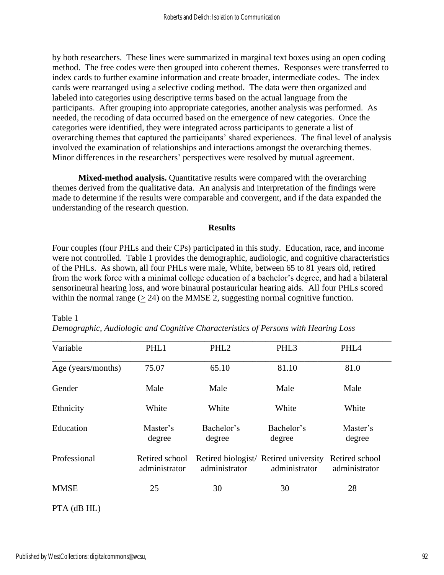by both researchers. These lines were summarized in marginal text boxes using an open coding method. The free codes were then grouped into coherent themes. Responses were transferred to index cards to further examine information and create broader, intermediate codes. The index cards were rearranged using a selective coding method. The data were then organized and labeled into categories using descriptive terms based on the actual language from the participants. After grouping into appropriate categories, another analysis was performed. As needed, the recoding of data occurred based on the emergence of new categories. Once the categories were identified, they were integrated across participants to generate a list of overarching themes that captured the participants' shared experiences. The final level of analysis involved the examination of relationships and interactions amongst the overarching themes. Minor differences in the researchers' perspectives were resolved by mutual agreement.

**Mixed-method analysis.** Quantitative results were compared with the overarching themes derived from the qualitative data. An analysis and interpretation of the findings were made to determine if the results were comparable and convergent, and if the data expanded the understanding of the research question.

### **Results**

Four couples (four PHLs and their CPs) participated in this study. Education, race, and income were not controlled. Table 1 provides the demographic, audiologic, and cognitive characteristics of the PHLs. As shown, all four PHLs were male, White, between 65 to 81 years old, retired from the work force with a minimal college education of a bachelor's degree, and had a bilateral sensorineural hearing loss, and wore binaural postauricular hearing aids. All four PHLs scored within the normal range  $(> 24)$  on the MMSE 2, suggesting normal cognitive function.

| Variable           | PHL1                            | PHL <sub>2</sub>     | PHL <sub>3</sub>                                       | PHL <sub>4</sub>                |  |
|--------------------|---------------------------------|----------------------|--------------------------------------------------------|---------------------------------|--|
| Age (years/months) | 75.07                           | 65.10                | 81.10                                                  | 81.0                            |  |
| Gender             | Male                            | Male                 | Male                                                   | Male                            |  |
| Ethnicity          | White                           | White                | White                                                  | White                           |  |
| Education          | Master's<br>degree              | Bachelor's<br>degree | Bachelor's<br>degree                                   | Master's<br>degree              |  |
| Professional       | Retired school<br>administrator | administrator        | Retired biologist/ Retired university<br>administrator | Retired school<br>administrator |  |
| <b>MMSE</b>        | 25                              | 30                   | 30                                                     | 28                              |  |

*Demographic, Audiologic and Cognitive Characteristics of Persons with Hearing Loss* 

PTA (dB HL)

Table 1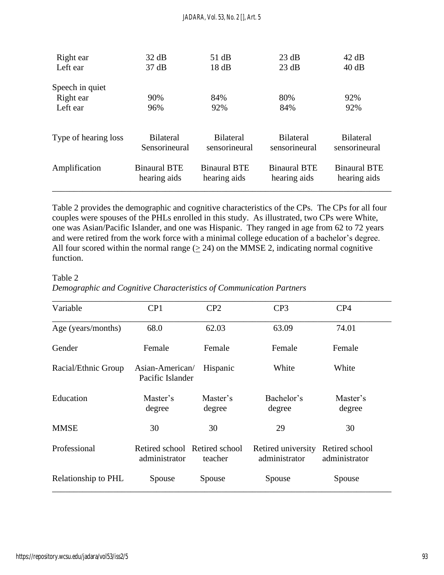| Right ear            | 32 dB                               | 51 dB                               | 23 dB                               | 42 dB                               |
|----------------------|-------------------------------------|-------------------------------------|-------------------------------------|-------------------------------------|
| Left ear             | 37 dB                               | 18dB                                | 23 dB                               | 40 dB                               |
| Speech in quiet      |                                     |                                     |                                     |                                     |
| Right ear            | 90%                                 | 84%                                 | 80%                                 | 92%                                 |
| Left ear             | 96%                                 | 92%                                 | 84%                                 | 92%                                 |
| Type of hearing loss | <b>Bilateral</b><br>Sensorineural   | <b>Bilateral</b><br>sensorineural   | <b>Bilateral</b><br>sensorineural   | <b>Bilateral</b><br>sensorineural   |
| Amplification        | <b>Binaural BTE</b><br>hearing aids | <b>Binaural BTE</b><br>hearing aids | <b>Binaural BTE</b><br>hearing aids | <b>Binaural BTE</b><br>hearing aids |

Table 2 provides the demographic and cognitive characteristics of the CPs. The CPs for all four couples were spouses of the PHLs enrolled in this study. As illustrated, two CPs were White, one was Asian/Pacific Islander, and one was Hispanic. They ranged in age from 62 to 72 years and were retired from the work force with a minimal college education of a bachelor's degree. All four scored within the normal range  $(2, 24)$  on the MMSE 2, indicating normal cognitive function.

Table 2

*Demographic and Cognitive Characteristics of Communication Partners*

| Variable            | CP1                                            | CP <sub>2</sub>    | CP <sub>3</sub>                     | CP4                             |  |
|---------------------|------------------------------------------------|--------------------|-------------------------------------|---------------------------------|--|
| Age (years/months)  | 68.0                                           | 62.03              | 63.09                               | 74.01                           |  |
| Gender              | Female                                         | Female             | Female                              | Female                          |  |
| Racial/Ethnic Group | Asian-American/<br>Pacific Islander            | Hispanic           | White                               | White                           |  |
| Education           | Master's<br>degree                             | Master's<br>degree | Bachelor's<br>degree                | Master's<br>degree              |  |
| <b>MMSE</b>         | 30                                             | 30                 | 29                                  | 30                              |  |
| Professional        | Retired school Retired school<br>administrator | teacher            | Retired university<br>administrator | Retired school<br>administrator |  |
| Relationship to PHL | Spouse                                         | Spouse             | Spouse                              | Spouse                          |  |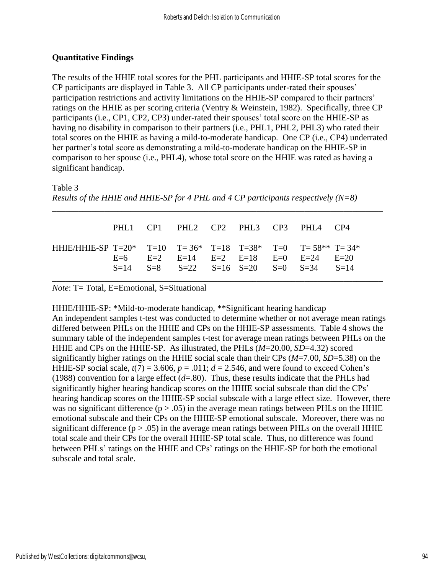# **Quantitative Findings**

The results of the HHIE total scores for the PHL participants and HHIE-SP total scores for the CP participants are displayed in Table 3. All CP participants under-rated their spouses' participation restrictions and activity limitations on the HHIE-SP compared to their partners' ratings on the HHIE as per scoring criteria (Ventry & Weinstein, 1982). Specifically, three CP participants (i.e., CP1, CP2, CP3) under-rated their spouses' total score on the HHIE-SP as having no disability in comparison to their partners (i.e., PHL1, PHL2, PHL3) who rated their total scores on the HHIE as having a mild-to-moderate handicap. One CP (i.e., CP4) underrated her partner's total score as demonstrating a mild-to-moderate handicap on the HHIE-SP in comparison to her spouse (i.e., PHL4), whose total score on the HHIE was rated as having a significant handicap.

Table 3

```
Results of the HHIE and HHIE-SP for 4 PHL and 4 CP participants respectively (N=8)
```

|                                                           |  |  |  | PHL1 CP1 PHL2 CP2 PHL3 CP3 PHL4 CP4                                                                          |  |
|-----------------------------------------------------------|--|--|--|--------------------------------------------------------------------------------------------------------------|--|
| HHIE/HHIE-SP T=20* T=10 T=36* T=18 T=38* T=0 T=58** T=34* |  |  |  | $E=6$ $E=2$ $E=14$ $E=2$ $E=18$ $E=0$ $E=24$ $E=20$<br>$S=14$ $S=8$ $S=22$ $S=16$ $S=20$ $S=0$ $S=34$ $S=14$ |  |

\_\_\_\_\_\_\_\_\_\_\_\_\_\_\_\_\_\_\_\_\_\_\_\_\_\_\_\_\_\_*\_\_\_\_\_\_\_\_\_\_\_\_\_\_\_\_\_\_\_\_\_\_\_\_\_\_\_\_\_\_\_\_\_\_\_\_\_\_\_\_\_\_\_\_\_\_*

*Note*: T= Total, E=Emotional, S=Situational

HHIE/HHIE-SP: \*Mild-to-moderate handicap, \*\*Significant hearing handicap An independent samples t-test was conducted to determine whether or not average mean ratings differed between PHLs on the HHIE and CPs on the HHIE-SP assessments. Table 4 shows the summary table of the independent samples t-test for average mean ratings between PHLs on the HHIE and CPs on the HHIE-SP. As illustrated, the PHLs (*M*=20.00, *SD*=4.32) scored significantly higher ratings on the HHIE social scale than their CPs (*M*=7.00, *SD*=5.38) on the HHIE-SP social scale,  $t(7) = 3.606$ ,  $p = .011$ ;  $d = 2.546$ , and were found to exceed Cohen's (1988) convention for a large effect  $(d=80)$ . Thus, these results indicate that the PHLs had significantly higher hearing handicap scores on the HHIE social subscale than did the CPs' hearing handicap scores on the HHIE-SP social subscale with a large effect size. However, there was no significant difference ( $p > .05$ ) in the average mean ratings between PHLs on the HHIE emotional subscale and their CPs on the HHIE-SP emotional subscale. Moreover, there was no significant difference  $(p > .05)$  in the average mean ratings between PHLs on the overall HHIE total scale and their CPs for the overall HHIE-SP total scale. Thus, no difference was found between PHLs' ratings on the HHIE and CPs' ratings on the HHIE-SP for both the emotional subscale and total scale.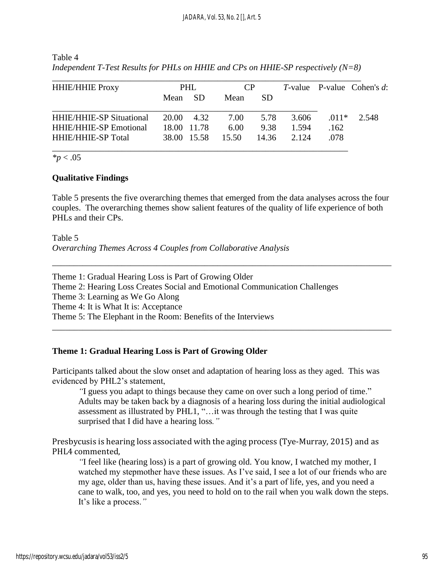| <b>HHIE/HHIE Proxy</b>          | PHL        |             | CP    |      |             |        | $T$ -value P-value Cohen's d: |
|---------------------------------|------------|-------------|-------|------|-------------|--------|-------------------------------|
|                                 | Mean SD    |             | Mean  | SD.  |             |        |                               |
| <b>HHIE/HHIE-SP Situational</b> | 20.00 4.32 |             | 7.00  | 5.78 | 3.606       | $011*$ | 2.548                         |
| <b>HHIE/HHIE-SP Emotional</b>   |            | 18.00 11.78 | 6.00  | 9.38 | 1.594       | .162   |                               |
| <b>HHIE/HHIE-SP Total</b>       |            | 38.00 15.58 | 15.50 |      | 14.36 2.124 | .078   |                               |

Table 4 *Independent T-Test Results for PHLs on HHIE and CPs on HHIE-SP respectively (N=8)*

*\*p* < .05

# **Qualitative Findings**

Table 5 presents the five overarching themes that emerged from the data analyses across the four couples. The overarching themes show salient features of the quality of life experience of both PHLs and their CPs.

\_\_\_\_\_\_\_\_\_\_\_\_\_\_\_\_\_\_\_\_\_\_\_\_\_\_\_\_\_\_\_\_\_\_\_\_\_\_\_\_\_\_\_\_\_\_\_\_\_\_\_\_\_\_\_\_\_\_\_\_\_\_\_\_\_\_\_\_\_\_\_\_\_\_\_\_\_\_

Table 5 *Overarching Themes Across 4 Couples from Collaborative Analysis*

Theme 1: Gradual Hearing Loss is Part of Growing Older Theme 2: Hearing Loss Creates Social and Emotional Communication Challenges Theme 3: Learning as We Go Along Theme 4: It is What It is: Acceptance Theme 5: The Elephant in the Room: Benefits of the Interviews \_\_\_\_\_\_\_\_\_\_\_\_\_\_\_\_\_\_\_\_\_\_\_\_\_\_\_\_\_\_\_\_\_\_\_\_\_\_\_\_\_\_\_\_\_\_\_\_\_\_\_\_\_\_\_\_\_\_\_\_\_\_\_\_\_\_\_\_\_\_\_\_\_\_\_\_\_\_

# **Theme 1: Gradual Hearing Loss is Part of Growing Older**

Participants talked about the slow onset and adaptation of hearing loss as they aged. This was evidenced by PHL2's statement,

*"*I guess you adapt to things because they came on over such a long period of time." Adults may be taken back by a diagnosis of a hearing loss during the initial audiological assessment as illustrated by PHL1, "…it was through the testing that I was quite surprised that I did have a hearing loss*."* 

Presbycusis is hearing loss associated with the aging process (Tye-Murray, 2015) and as PHL4 commented,

*"*I feel like (hearing loss) is a part of growing old. You know, I watched my mother, I watched my stepmother have these issues. As I've said, I see a lot of our friends who are my age, older than us, having these issues. And it's a part of life, yes, and you need a cane to walk, too, and yes, you need to hold on to the rail when you walk down the steps. It's like a process.*"*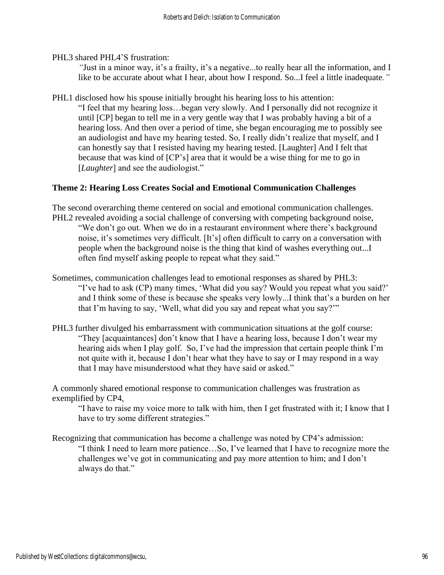PHL<sub>3</sub> shared PHI<sub>4</sub>'S frustration:

*"*Just in a minor way, it's a frailty, it's a negative...to really hear all the information, and I like to be accurate about what I hear, about how I respond. So...I feel a little inadequate*."*

PHL1 disclosed how his spouse initially brought his hearing loss to his attention: "I feel that my hearing loss…began very slowly. And I personally did not recognize it until [CP] began to tell me in a very gentle way that I was probably having a bit of a hearing loss. And then over a period of time, she began encouraging me to possibly see an audiologist and have my hearing tested. So, I really didn't realize that myself, and I can honestly say that I resisted having my hearing tested. [Laughter] And I felt that because that was kind of [CP's] area that it would be a wise thing for me to go in [*Laughter*] and see the audiologist."

# **Theme 2: Hearing Loss Creates Social and Emotional Communication Challenges**

The second overarching theme centered on social and emotional communication challenges. PHL2 revealed avoiding a social challenge of conversing with competing background noise, "We don't go out. When we do in a restaurant environment where there's background noise, it's sometimes very difficult. [It's] often difficult to carry on a conversation with people when the background noise is the thing that kind of washes everything out...I often find myself asking people to repeat what they said."

- Sometimes, communication challenges lead to emotional responses as shared by PHL3: "I've had to ask (CP) many times, 'What did you say? Would you repeat what you said?' and I think some of these is because she speaks very lowly...I think that's a burden on her that I'm having to say, 'Well, what did you say and repeat what you say?'"
- PHL3 further divulged his embarrassment with communication situations at the golf course: "They [acquaintances] don't know that I have a hearing loss, because I don't wear my hearing aids when I play golf. So, I've had the impression that certain people think I'm not quite with it, because I don't hear what they have to say or I may respond in a way that I may have misunderstood what they have said or asked."

A commonly shared emotional response to communication challenges was frustration as exemplified by CP4,

"I have to raise my voice more to talk with him, then I get frustrated with it; I know that I have to try some different strategies."

Recognizing that communication has become a challenge was noted by CP4's admission: "I think I need to learn more patience…So, I've learned that I have to recognize more the challenges we've got in communicating and pay more attention to him; and I don't always do that."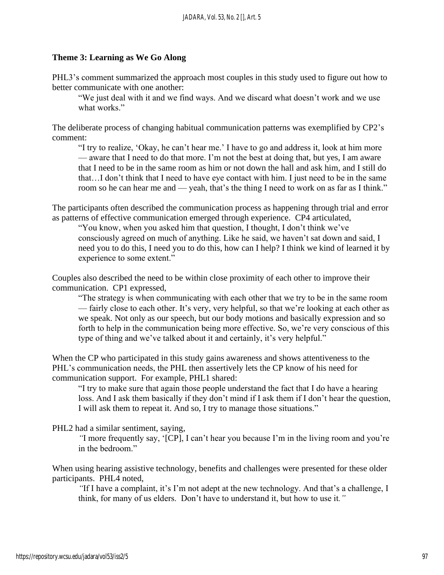# **Theme 3: Learning as We Go Along**

PHL3's comment summarized the approach most couples in this study used to figure out how to better communicate with one another:

"We just deal with it and we find ways. And we discard what doesn't work and we use what works."

The deliberate process of changing habitual communication patterns was exemplified by CP2's comment:

"I try to realize, 'Okay, he can't hear me.' I have to go and address it, look at him more — aware that I need to do that more. I'm not the best at doing that, but yes, I am aware that I need to be in the same room as him or not down the hall and ask him, and I still do that…I don't think that I need to have eye contact with him. I just need to be in the same room so he can hear me and — yeah, that's the thing I need to work on as far as I think."

The participants often described the communication process as happening through trial and error as patterns of effective communication emerged through experience. CP4 articulated,

"You know, when you asked him that question, I thought, I don't think we've consciously agreed on much of anything. Like he said, we haven't sat down and said, I need you to do this, I need you to do this, how can I help? I think we kind of learned it by experience to some extent."

Couples also described the need to be within close proximity of each other to improve their communication. CP1 expressed,

"The strategy is when communicating with each other that we try to be in the same room — fairly close to each other. It's very, very helpful, so that we're looking at each other as we speak. Not only as our speech, but our body motions and basically expression and so forth to help in the communication being more effective. So, we're very conscious of this type of thing and we've talked about it and certainly, it's very helpful."

When the CP who participated in this study gains awareness and shows attentiveness to the PHL's communication needs, the PHL then assertively lets the CP know of his need for communication support. For example, PHL1 shared:

"I try to make sure that again those people understand the fact that I do have a hearing loss. And I ask them basically if they don't mind if I ask them if I don't hear the question, I will ask them to repeat it. And so, I try to manage those situations."

PHL2 had a similar sentiment, saying,

*"*I more frequently say, '[CP], I can't hear you because I'm in the living room and you're in the bedroom."

When using hearing assistive technology, benefits and challenges were presented for these older participants. PHL4 noted,

*"*If I have a complaint, it's I'm not adept at the new technology. And that's a challenge, I think, for many of us elders. Don't have to understand it, but how to use it*."*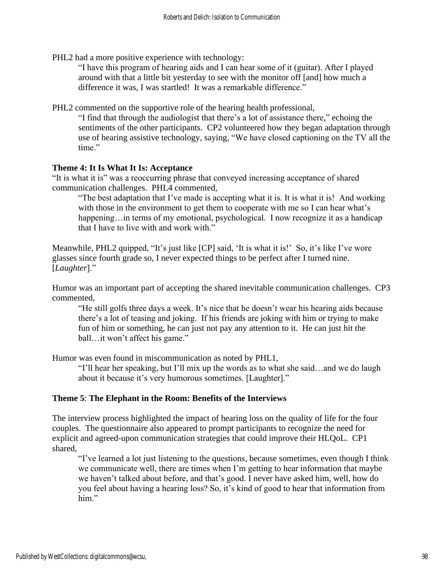PHL2 had a more positive experience with technology:

"I have this program of hearing aids and I can hear some of it (guitar). After I played around with that a little bit yesterday to see with the monitor off [and] how much a difference it was, I was startled! It was a remarkable difference."

PHL2 commented on the supportive role of the hearing health professional,

"I find that through the audiologist that there's a lot of assistance there*,*" echoing the sentiments of the other participants. CP2 volunteered how they began adaptation through use of hearing assistive technology, saying, "We have closed captioning on the TV all the time."

# **Theme 4: It Is What It Is: Acceptance**

"It is what it is" was a reoccurring phrase that conveyed increasing acceptance of shared communication challenges. PHL4 commented,

"The best adaptation that I've made is accepting what it is. It is what it is! And working with those in the environment to get them to cooperate with me so I can hear what's happening…in terms of my emotional, psychological. I now recognize it as a handicap that I have to live with and work with."

Meanwhile, PHL2 quipped, "It's just like [CP] said, 'It is what it is!' So, it's like I've wore glasses since fourth grade so, I never expected things to be perfect after I turned nine. [*Laughter*]."

Humor was an important part of accepting the shared inevitable communication challenges. CP3 commented,

"He still golfs three days a week. It's nice that he doesn't wear his hearing aids because there's a lot of teasing and joking. If his friends are joking with him or trying to make fun of him or something, he can just not pay any attention to it. He can just hit the ball…it won't affect his game."

Humor was even found in miscommunication as noted by PHL1,

"I'll hear her speaking, but I'll mix up the words as to what she said…and we do laugh about it because it's very humorous sometimes. [Laughter]."

# **Theme 5**: **The Elephant in the Room: Benefits of the Interviews**

The interview process highlighted the impact of hearing loss on the quality of life for the four couples. The questionnaire also appeared to prompt participants to recognize the need for explicit and agreed-upon communication strategies that could improve their HLQoL. CP1 shared,

"I've learned a lot just listening to the questions, because sometimes, even though I think we communicate well, there are times when I'm getting to hear information that maybe we haven't talked about before, and that's good. I never have asked him, well, how do you feel about having a hearing loss? So, it's kind of good to hear that information from him."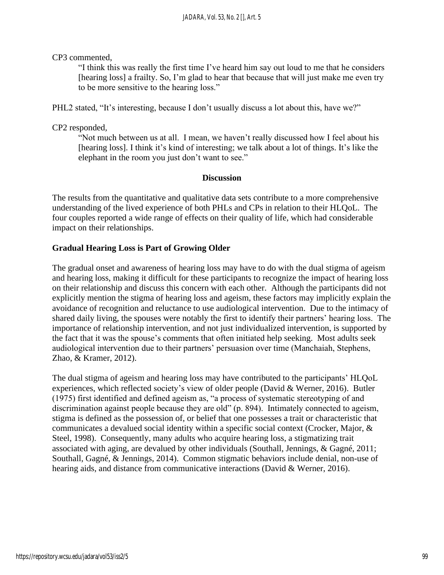CP3 commented,

"I think this was really the first time I've heard him say out loud to me that he considers [hearing loss] a frailty. So, I'm glad to hear that because that will just make me even try to be more sensitive to the hearing loss."

PHL2 stated, "It's interesting, because I don't usually discuss a lot about this, have we?"

CP2 responded*,* 

"Not much between us at all. I mean, we haven't really discussed how I feel about his [hearing loss]. I think it's kind of interesting; we talk about a lot of things. It's like the elephant in the room you just don't want to see."

# **Discussion**

The results from the quantitative and qualitative data sets contribute to a more comprehensive understanding of the lived experience of both PHLs and CPs in relation to their HLQoL. The four couples reported a wide range of effects on their quality of life, which had considerable impact on their relationships.

# **Gradual Hearing Loss is Part of Growing Older**

The gradual onset and awareness of hearing loss may have to do with the dual stigma of ageism and hearing loss, making it difficult for these participants to recognize the impact of hearing loss on their relationship and discuss this concern with each other. Although the participants did not explicitly mention the stigma of hearing loss and ageism, these factors may implicitly explain the avoidance of recognition and reluctance to use audiological intervention. Due to the intimacy of shared daily living, the spouses were notably the first to identify their partners' hearing loss. The importance of relationship intervention, and not just individualized intervention, is supported by the fact that it was the spouse's comments that often initiated help seeking. Most adults seek audiological intervention due to their partners' persuasion over time (Manchaiah, Stephens, Zhao, & Kramer, 2012).

The dual stigma of ageism and hearing loss may have contributed to the participants' HLQoL experiences, which reflected society's view of older people (David & Werner, 2016). Butler (1975) first identified and defined ageism as, "a process of systematic stereotyping of and discrimination against people because they are old" (p. 894). Intimately connected to ageism, stigma is defined as the possession of, or belief that one possesses a trait or characteristic that communicates a devalued social identity within a specific social context (Crocker, Major, & Steel, 1998). Consequently, many adults who acquire hearing loss, a stigmatizing trait associated with aging, are devalued by other individuals (Southall, Jennings, & Gagné, 2011; Southall, Gagné, & Jennings, 2014). Common stigmatic behaviors include denial, non-use of hearing aids, and distance from communicative interactions (David & Werner, 2016).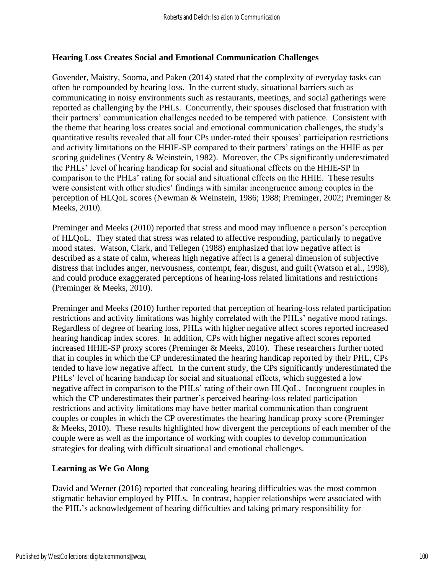# **Hearing Loss Creates Social and Emotional Communication Challenges**

Govender, Maistry, Sooma, and Paken (2014) stated that the complexity of everyday tasks can often be compounded by hearing loss. In the current study, situational barriers such as communicating in noisy environments such as restaurants, meetings, and social gatherings were reported as challenging by the PHLs. Concurrently, their spouses disclosed that frustration with their partners' communication challenges needed to be tempered with patience. Consistent with the theme that hearing loss creates social and emotional communication challenges, the study's quantitative results revealed that all four CPs under-rated their spouses' participation restrictions and activity limitations on the HHIE-SP compared to their partners' ratings on the HHIE as per scoring guidelines (Ventry & Weinstein, 1982). Moreover, the CPs significantly underestimated the PHLs' level of hearing handicap for social and situational effects on the HHIE-SP in comparison to the PHLs' rating for social and situational effects on the HHIE. These results were consistent with other studies' findings with similar incongruence among couples in the perception of HLQoL scores (Newman & Weinstein, 1986; 1988; Preminger, 2002; Preminger & Meeks, 2010).

Preminger and Meeks (2010) reported that stress and mood may influence a person's perception of HLQoL. They stated that stress was related to affective responding, particularly to negative mood states. Watson, Clark, and Tellegen (1988) emphasized that low negative affect is described as a state of calm, whereas high negative affect is a general dimension of subjective distress that includes anger, nervousness, contempt, fear, disgust, and guilt (Watson et al., 1998), and could produce exaggerated perceptions of hearing-loss related limitations and restrictions (Preminger & Meeks, 2010).

Preminger and Meeks (2010) further reported that perception of hearing-loss related participation restrictions and activity limitations was highly correlated with the PHLs' negative mood ratings. Regardless of degree of hearing loss, PHLs with higher negative affect scores reported increased hearing handicap index scores. In addition, CPs with higher negative affect scores reported increased HHIE-SP proxy scores (Preminger & Meeks, 2010). These researchers further noted that in couples in which the CP underestimated the hearing handicap reported by their PHL, CPs tended to have low negative affect. In the current study, the CPs significantly underestimated the PHLs' level of hearing handicap for social and situational effects, which suggested a low negative affect in comparison to the PHLs' rating of their own HLQoL. Incongruent couples in which the CP underestimates their partner's perceived hearing-loss related participation restrictions and activity limitations may have better marital communication than congruent couples or couples in which the CP overestimates the hearing handicap proxy score (Preminger & Meeks, 2010). These results highlighted how divergent the perceptions of each member of the couple were as well as the importance of working with couples to develop communication strategies for dealing with difficult situational and emotional challenges.

# **Learning as We Go Along**

David and Werner (2016) reported that concealing hearing difficulties was the most common stigmatic behavior employed by PHLs. In contrast, happier relationships were associated with the PHL's acknowledgement of hearing difficulties and taking primary responsibility for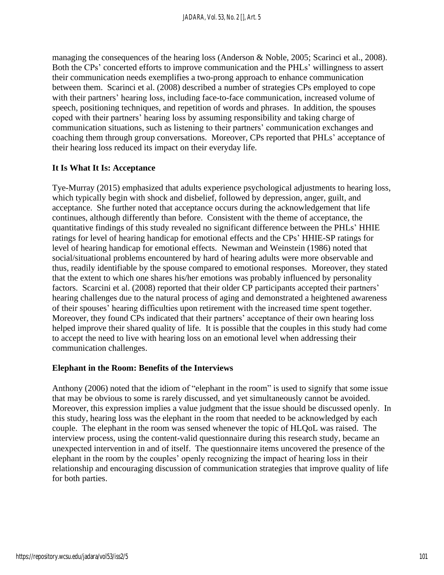managing the consequences of the hearing loss (Anderson & Noble, 2005; Scarinci et al., 2008). Both the CPs' concerted efforts to improve communication and the PHLs' willingness to assert their communication needs exemplifies a two-prong approach to enhance communication between them. Scarinci et al. (2008) described a number of strategies CPs employed to cope with their partners' hearing loss, including face-to-face communication, increased volume of speech, positioning techniques, and repetition of words and phrases. In addition, the spouses coped with their partners' hearing loss by assuming responsibility and taking charge of communication situations, such as listening to their partners' communication exchanges and coaching them through group conversations. Moreover, CPs reported that PHLs' acceptance of their hearing loss reduced its impact on their everyday life.

# **It Is What It Is: Acceptance**

Tye-Murray (2015) emphasized that adults experience psychological adjustments to hearing loss, which typically begin with shock and disbelief, followed by depression, anger, guilt, and acceptance. She further noted that acceptance occurs during the acknowledgement that life continues, although differently than before. Consistent with the theme of acceptance, the quantitative findings of this study revealed no significant difference between the PHLs' HHIE ratings for level of hearing handicap for emotional effects and the CPs' HHIE-SP ratings for level of hearing handicap for emotional effects. Newman and Weinstein (1986) noted that social/situational problems encountered by hard of hearing adults were more observable and thus, readily identifiable by the spouse compared to emotional responses. Moreover, they stated that the extent to which one shares his/her emotions was probably influenced by personality factors. Scarcini et al. (2008) reported that their older CP participants accepted their partners' hearing challenges due to the natural process of aging and demonstrated a heightened awareness of their spouses' hearing difficulties upon retirement with the increased time spent together. Moreover, they found CPs indicated that their partners' acceptance of their own hearing loss helped improve their shared quality of life. It is possible that the couples in this study had come to accept the need to live with hearing loss on an emotional level when addressing their communication challenges.

# **Elephant in the Room: Benefits of the Interviews**

Anthony (2006) noted that the idiom of "elephant in the room" is used to signify that some issue that may be obvious to some is rarely discussed, and yet simultaneously cannot be avoided. Moreover, this expression implies a value judgment that the issue should be discussed openly. In this study, hearing loss was the elephant in the room that needed to be acknowledged by each couple. The elephant in the room was sensed whenever the topic of HLQoL was raised. The interview process, using the content-valid questionnaire during this research study, became an unexpected intervention in and of itself. The questionnaire items uncovered the presence of the elephant in the room by the couples' openly recognizing the impact of hearing loss in their relationship and encouraging discussion of communication strategies that improve quality of life for both parties.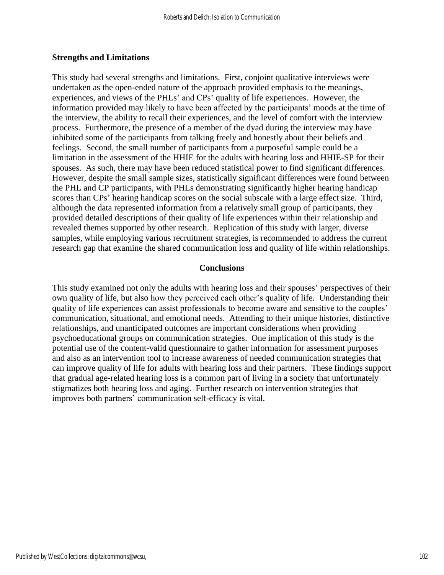#### **Strengths and Limitations**

This study had several strengths and limitations. First, conjoint qualitative interviews were undertaken as the open-ended nature of the approach provided emphasis to the meanings, experiences, and views of the PHLs' and CPs' quality of life experiences. However, the information provided may likely to have been affected by the participants' moods at the time of the interview, the ability to recall their experiences, and the level of comfort with the interview process. Furthermore, the presence of a member of the dyad during the interview may have inhibited some of the participants from talking freely and honestly about their beliefs and feelings. Second, the small number of participants from a purposeful sample could be a limitation in the assessment of the HHIE for the adults with hearing loss and HHIE-SP for their spouses. As such, there may have been reduced statistical power to find significant differences. However, despite the small sample sizes, statistically significant differences were found between the PHL and CP participants, with PHLs demonstrating significantly higher hearing handicap scores than CPs' hearing handicap scores on the social subscale with a large effect size. Third, although the data represented information from a relatively small group of participants, they provided detailed descriptions of their quality of life experiences within their relationship and revealed themes supported by other research. Replication of this study with larger, diverse samples, while employing various recruitment strategies, is recommended to address the current research gap that examine the shared communication loss and quality of life within relationships.

#### **Conclusions**

This study examined not only the adults with hearing loss and their spouses' perspectives of their own quality of life, but also how they perceived each other's quality of life. Understanding their quality of life experiences can assist professionals to become aware and sensitive to the couples' communication, situational, and emotional needs. Attending to their unique histories, distinctive relationships, and unanticipated outcomes are important considerations when providing psychoeducational groups on communication strategies. One implication of this study is the potential use of the content-valid questionnaire to gather information for assessment purposes and also as an intervention tool to increase awareness of needed communication strategies that can improve quality of life for adults with hearing loss and their partners. These findings support that gradual age-related hearing loss is a common part of living in a society that unfortunately stigmatizes both hearing loss and aging. Further research on intervention strategies that improves both partners' communication self-efficacy is vital.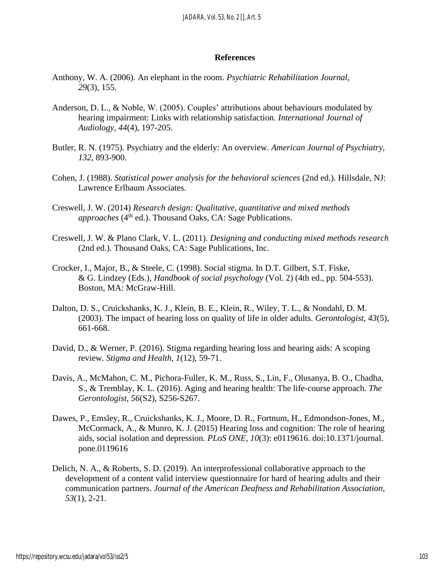#### **References**

- Anthony, W. A. (2006). An elephant in the room. *Psychiatric Rehabilitation Journal, 29*(3), 155.
- Anderson, D. L., & Noble, W. (2005). Couples' attributions about behaviours modulated by hearing impairment: Links with relationship satisfaction. *International Journal of Audiology, 44*(4), 197-205.
- Butler, R. N. (1975). Psychiatry and the elderly: An overview. *American Journal of Psychiatry, 132,* 893-900.
- Cohen, J. (1988). *Statistical power analysis for the behavioral sciences* (2nd ed.). Hillsdale, NJ: Lawrence Erlbaum Associates.
- Creswell, J. W. (2014) *Research design: Qualitative, quantitative and mixed methods*  approaches (4<sup>th</sup> ed.). Thousand Oaks, CA: Sage Publications.
- Creswell, J. W. & Plano Clark, V. L. (2011). *Designing and conducting mixed methods research* (2nd ed.). Thousand Oaks, CA: Sage Publications, Inc.
- Crocker, I., Major, B., & Steele, C. (1998). Social stigma. In D.T. Gilbert, S.T. Fiske, & G. Lindzey (Eds.), *Handbook of social psychology* (Vol. 2) (4th ed., pp. 504-553). Boston, MA: McGraw-Hill.
- Dalton, D. S., Cruickshanks, K. J., Klein, B. E., Klein, R., Wiley, T. L., & Nondahl, D. M. (2003). The impact of hearing loss on quality of life in older adults. *Gerontologist, 43*(5), 661-668.
- David, D., & Werner, P. (2016). Stigma regarding hearing loss and hearing aids: A scoping review. *Stigma and Health, 1*(12), 59-71.
- Davis, A., McMahon, C. M., Pichora-Fuller, K. M., Russ, S., Lin, F., Olusanya, B. O., Chadha, S., & Tremblay, K. L. (2016). Aging and hearing health: The life-course approach. *The Gerontologist, 56*(S2), S256-S267.
- Dawes, P., Emsley, R., Cruickshanks, K. J., Moore, D. R., Fortnum, H., Edmondson-Jones, M., McCormack, A., & Munro, K. J. (2015) Hearing loss and cognition: The role of hearing aids, social isolation and depression. *PLoS ONE, 10*(3): e0119616. doi:10.1371/journal. pone.0119616
- Delich, N. A., & Roberts, S. D. (2019)*.* An interprofessional collaborative approach to the development of a content valid interview questionnaire for hard of hearing adults and their communication partners. *Journal of the American Deafness and Rehabilitation Association, 53*(1), 2-21.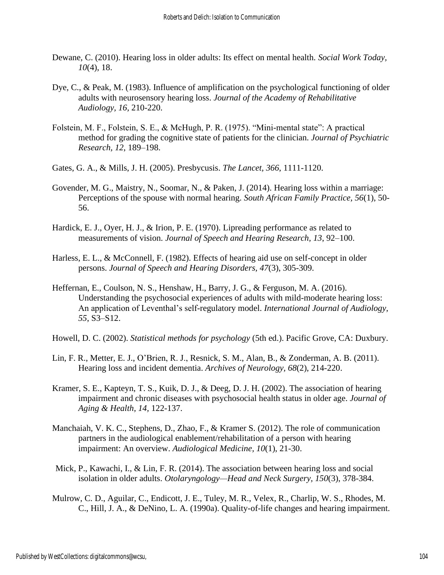- Dewane, C. (2010). Hearing loss in older adults: Its effect on mental health. *Social Work Today, 10*(4), 18.
- Dye, C., & Peak, M. (1983). Influence of amplification on the psychological functioning of older adults with neurosensory hearing loss. *Journal of the Academy of Rehabilitative Audiology, 16,* 210-220.
- Folstein, M. F., Folstein, S. E., & McHugh, P. R. (1975). "Mini-mental state": A practical method for grading the cognitive state of patients for the clinician. *Journal of Psychiatric Research, 12*, 189–198.
- Gates, G. A., & Mills, J. H. (2005). Presbycusis. *The Lancet, 366*, 1111-1120.
- Govender, M. G., Maistry, N., Soomar, N., & Paken, J. (2014). Hearing loss within a marriage: Perceptions of the spouse with normal hearing. *South African Family Practice, 56*(1), 50- 56.
- Hardick, E. J., Oyer, H. J., & Irion, P. E. (1970). Lipreading performance as related to measurements of vision. *Journal of Speech and Hearing Research, 13*, 92–100.
- Harless, E. L., & McConnell, F. (1982). Effects of hearing aid use on self-concept in older persons. *Journal of Speech and Hearing Disorders, 47*(3), 305-309.
- Heffernan, E., Coulson, N. S., Henshaw, H., Barry, J. G., & Ferguson, M. A. (2016). Understanding the psychosocial experiences of adults with mild-moderate hearing loss: An application of Leventhal's self-regulatory model. *International Journal of Audiology, 55*, S3–S12.
- Howell, D. C. (2002). *Statistical methods for psychology* (5th ed.). Pacific Grove, CA: Duxbury.
- Lin, F. R., Metter, E. J., O'Brien, R. J., Resnick, S. M., Alan, B., & Zonderman, A. B. (2011). Hearing loss and incident dementia. *Archives of Neurology, 68*(2), 214-220.
- Kramer, S. E., Kapteyn, T. S., Kuik, D. J., & Deeg, D. J. H. (2002). The association of hearing impairment and chronic diseases with psychosocial health status in older age. *Journal of Aging & Health, 14,* 122-137.
- Manchaiah, V. K. C., Stephens, D., Zhao, F., & Kramer S. (2012). The role of communication partners in the audiological enablement/rehabilitation of a person with hearing impairment: An overview. *Audiological Medicine, 10*(1), 21-30.
- Mick, P., Kawachi, I., & Lin, F. R. (2014). The association between hearing loss and social isolation in older adults. *Otolaryngology—Head and Neck Surgery, 150*(3), 378-384.
- Mulrow, C. D., Aguilar, C., Endicott, J. E., Tuley, M. R., Velex, R., Charlip, W. S., Rhodes, M. C., Hill, J. A., & DeNino, L. A. (1990a). Quality-of-life changes and hearing impairment.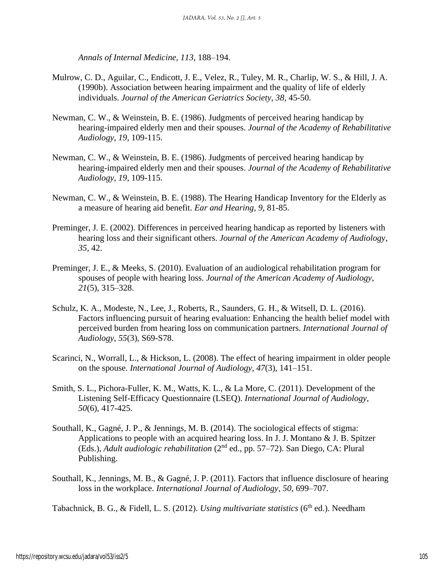*Annals of Internal Medicine, 113,* 188–194.

- Mulrow, C. D., Aguilar, C., Endicott, J. E., Velez, R., Tuley, M. R., Charlip, W. S., & Hill, J. A. (1990b). Association between hearing impairment and the quality of life of elderly individuals. *Journal of the American Geriatrics Society, 38*, 45-50.
- Newman, C. W., & Weinstein, B. E. (1986). Judgments of perceived hearing handicap by hearing-impaired elderly men and their spouses. *Journal of the Academy of Rehabilitative Audiology, 19,* 109-115.
- Newman, C. W., & Weinstein, B. E. (1986). Judgments of perceived hearing handicap by hearing-impaired elderly men and their spouses. *Journal of the Academy of Rehabilitative Audiology, 19*, 109-115.
- Newman, C. W., & Weinstein, B. E. (1988). The Hearing Handicap Inventory for the Elderly as a measure of hearing aid benefit. *Ear and Hearing, 9,* 81-85.
- Preminger, J. E. (2002). Differences in perceived hearing handicap as reported by listeners with hearing loss and their significant others. *Journal of the American Academy of Audiology*, *35*, 42.
- Preminger, J. E., & Meeks, S. (2010). Evaluation of an audiological rehabilitation program for spouses of people with hearing loss. *Journal of the American Academy of Audiology*, *21*(5), 315–328.
- Schulz, K. A., Modeste, N., Lee, J., Roberts, R., Saunders, G. H., & Witsell, D. L. (2016). Factors influencing pursuit of hearing evaluation: Enhancing the health belief model with perceived burden from hearing loss on communication partners. *International Journal of Audiology, 55*(3), S69-S78.
- Scarinci, N., Worrall, L., & Hickson, L. (2008). The effect of hearing impairment in older people on the spouse. *International Journal of Audiology, 47*(3), 141–151.
- Smith, S. L., Pichora-Fuller, K. M., Watts, K. L., & La More, C. (2011). Development of the Listening Self-Efficacy Questionnaire (LSEQ). *International Journal of Audiology, 50*(6), 417-425.
- Southall, K., Gagné, J. P., & Jennings, M. B. (2014). The sociological effects of stigma: Applications to people with an acquired hearing loss. In J. J. Montano & J. B. Spitzer (Eds.), *Adult audiologic rehabilitation* (2nd ed., pp. 57–72). San Diego, CA: Plural Publishing.
- Southall, K., Jennings, M. B., & Gagné, J. P. (2011). Factors that influence disclosure of hearing loss in the workplace. *International Journal of Audiology, 50*, 699–707.

Tabachnick, B. G., & Fidell, L. S. (2012). *Using multivariate statistics* (6<sup>th</sup> ed.). Needham